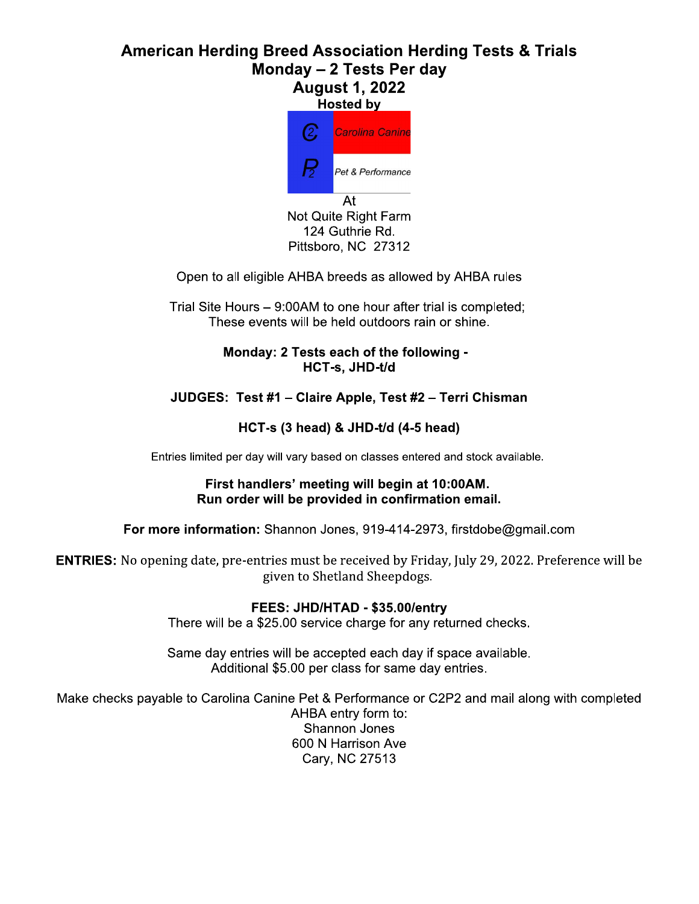# **American Herding Breed Association Herding Tests & Trials** Monday - 2 Tests Per day **August 1, 2022**



Open to all eligible AHBA breeds as allowed by AHBA rules

Trial Site Hours – 9:00AM to one hour after trial is completed; These events will be held outdoors rain or shine.

> Monday: 2 Tests each of the following -HCT-s, JHD-t/d

# JUDGES: Test #1 - Claire Apple, Test #2 - Terri Chisman

## HCT-s (3 head) & JHD-t/d (4-5 head)

Entries limited per day will vary based on classes entered and stock available.

#### First handlers' meeting will begin at 10:00AM. Run order will be provided in confirmation email.

For more information: Shannon Jones, 919-414-2973, firstdobe@gmail.com

**ENTRIES:** No opening date, pre-entries must be received by Friday, July 29, 2022. Preference will be given to Shetland Sheepdogs.

## FEES: JHD/HTAD - \$35.00/entry

There will be a \$25.00 service charge for any returned checks.

Same day entries will be accepted each day if space available. Additional \$5.00 per class for same day entries.

Make checks payable to Carolina Canine Pet & Performance or C2P2 and mail along with completed

AHBA entry form to: Shannon Jones 600 N Harrison Ave Cary, NC 27513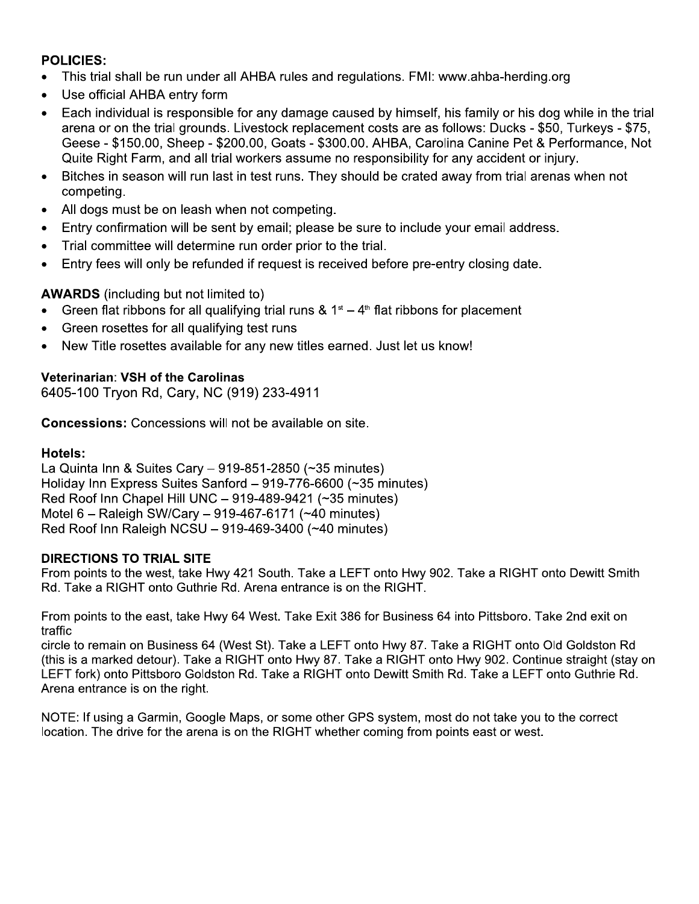## **POLICIES:**

- This trial shall be run under all AHBA rules and regulations. FMI: www.ahba-herding.org
- Use official AHBA entry form
- Each individual is responsible for any damage caused by himself, his family or his dog while in the trial  $\bullet$ arena or on the trial grounds. Livestock replacement costs are as follows: Ducks - \$50, Turkeys - \$75, Geese - \$150.00, Sheep - \$200.00, Goats - \$300.00. AHBA, Carolina Canine Pet & Performance, Not Quite Right Farm, and all trial workers assume no responsibility for any accident or injury.
- Bitches in season will run last in test runs. They should be crated away from trial arenas when not  $\bullet$ competing.
- All dogs must be on leash when not competing.  $\bullet$
- Entry confirmation will be sent by email; please be sure to include your email address.
- Trial committee will determine run order prior to the trial.  $\bullet$
- Entry fees will only be refunded if request is received before pre-entry closing date.

**AWARDS** (including but not limited to)

- Green flat ribbons for all qualifying trial runs &  $1<sup>st</sup> 4<sup>th</sup>$  flat ribbons for placement
- Green rosettes for all qualifying test runs
- New Title rosettes available for any new titles earned. Just let us know!

## **Veterinarian: VSH of the Carolinas**

6405-100 Tryon Rd, Cary, NC (919) 233-4911

**Concessions:** Concessions will not be available on site.

#### **Hotels:**

La Quinta Inn & Suites Cary - 919-851-2850 (~35 minutes) Holiday Inn Express Suites Sanford - 919-776-6600 (~35 minutes) Red Roof Inn Chapel Hill UNC - 919-489-9421 (~35 minutes) Motel 6 - Raleigh SW/Cary - 919-467-6171 (~40 minutes) Red Roof Inn Raleigh NCSU - 919-469-3400 (~40 minutes)

## **DIRECTIONS TO TRIAL SITE**

From points to the west, take Hwy 421 South. Take a LEFT onto Hwy 902. Take a RIGHT onto Dewitt Smith Rd. Take a RIGHT onto Guthrie Rd. Arena entrance is on the RIGHT.

From points to the east, take Hwy 64 West. Take Exit 386 for Business 64 into Pittsboro. Take 2nd exit on traffic

circle to remain on Business 64 (West St). Take a LEFT onto Hwy 87. Take a RIGHT onto Old Goldston Rd (this is a marked detour). Take a RIGHT onto Hwy 87. Take a RIGHT onto Hwy 902. Continue straight (stay on LEFT fork) onto Pittsboro Goldston Rd. Take a RIGHT onto Dewitt Smith Rd. Take a LEFT onto Guthrie Rd. Arena entrance is on the right.

NOTE: If using a Garmin, Google Maps, or some other GPS system, most do not take you to the correct location. The drive for the arena is on the RIGHT whether coming from points east or west.